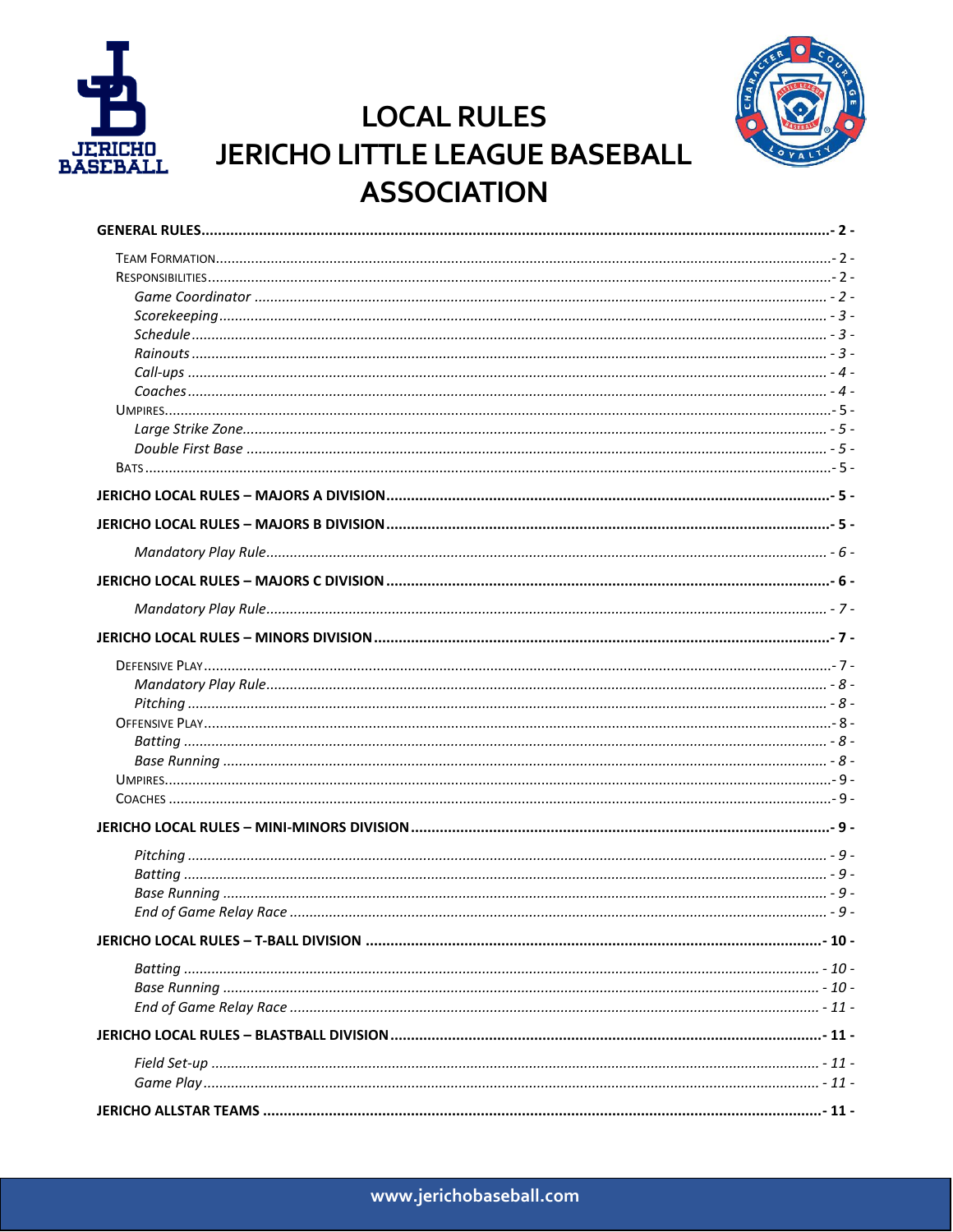



# **LOCAL RULES JERICHO LITTLE LEAGUE BASEBALL ASSOCIATION**

| - 8 - تستنسستنسستنسست المستنسستين المستنسستين المستنسسين المستنسسين المستنسسين المستنسستين المستنسرة |            |
|------------------------------------------------------------------------------------------------------|------------|
|                                                                                                      |            |
|                                                                                                      |            |
|                                                                                                      |            |
|                                                                                                      |            |
|                                                                                                      |            |
|                                                                                                      |            |
|                                                                                                      |            |
|                                                                                                      |            |
|                                                                                                      |            |
|                                                                                                      |            |
|                                                                                                      |            |
|                                                                                                      |            |
|                                                                                                      |            |
|                                                                                                      |            |
|                                                                                                      |            |
| <b>IFRICHO ALLSTAR TEAMS</b>                                                                         | $\sim$ 11. |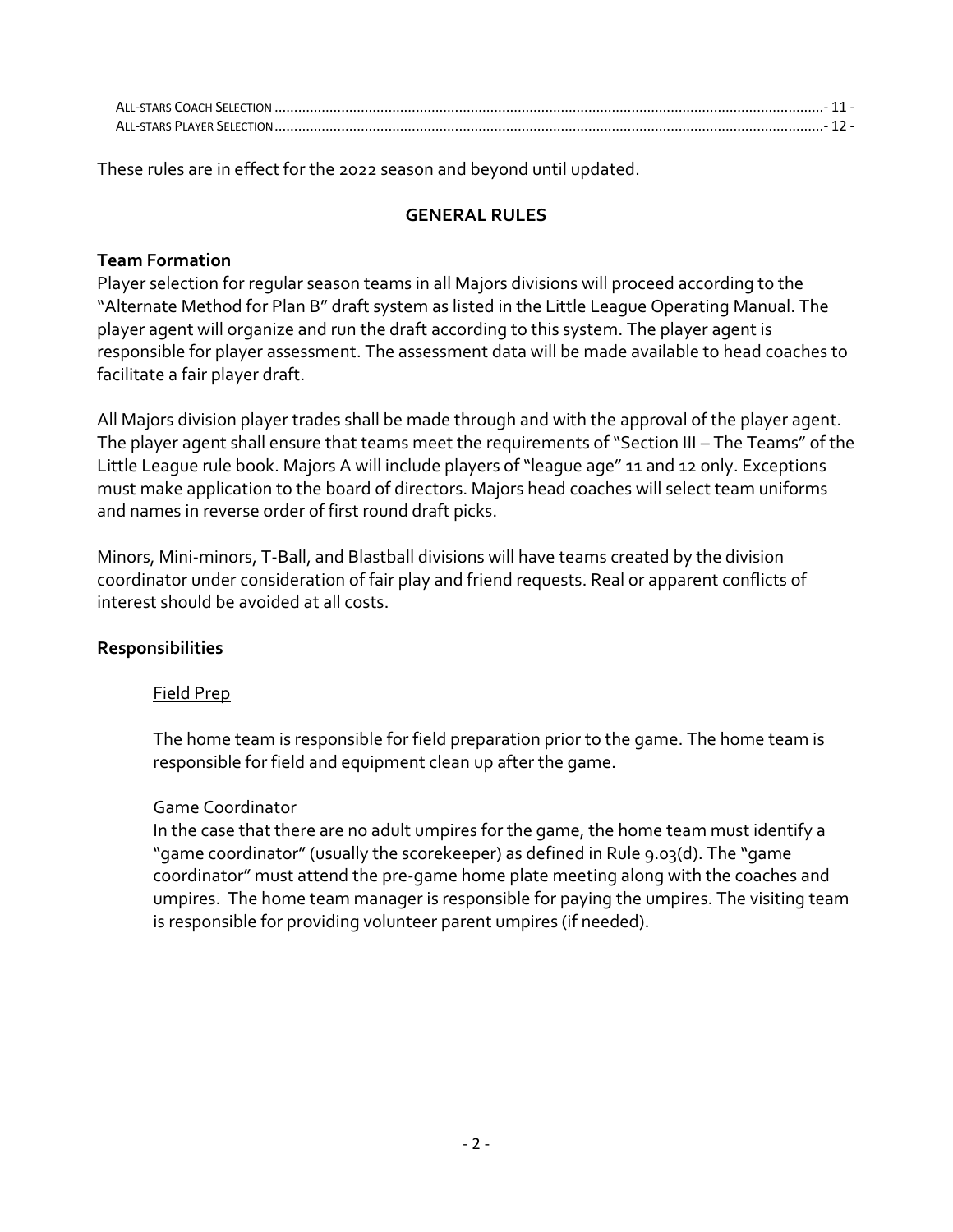| ALL-STARS PLAYER SELECTION |  |
|----------------------------|--|

<span id="page-1-0"></span>These rules are in effect for the 2022 season and beyond until updated.

### **GENERAL RULES**

### <span id="page-1-1"></span>**Team Formation**

Player selection for regular season teams in all Majors divisions will proceed according to the "Alternate Method for Plan B" draft system as listed in the Little League Operating Manual. The player agent will organize and run the draft according to this system. The player agent is responsible for player assessment. The assessment data will be made available to head coaches to facilitate a fair player draft.

All Majors division player trades shall be made through and with the approval of the player agent. The player agent shall ensure that teams meet the requirements of "Section III – The Teams" of the Little League rule book. Majors A will include players of "league age" 11 and 12 only. Exceptions must make application to the board of directors. Majors head coaches will select team uniforms and names in reverse order of first round draft picks.

Minors, Mini-minors, T-Ball, and Blastball divisions will have teams created by the division coordinator under consideration of fair play and friend requests. Real or apparent conflicts of interest should be avoided at all costs.

### <span id="page-1-2"></span>**Responsibilities**

### Field Prep

The home team is responsible for field preparation prior to the game. The home team is responsible for field and equipment clean up after the game.

### <span id="page-1-3"></span>Game Coordinator

<span id="page-1-4"></span>In the case that there are no adult umpires for the game, the home team must identify a "game coordinator" (usually the scorekeeper) as defined in Rule 9.03(d). The "game coordinator" must attend the pre-game home plate meeting along with the coaches and umpires. The home team manager is responsible for paying the umpires. The visiting team is responsible for providing volunteer parent umpires (if needed).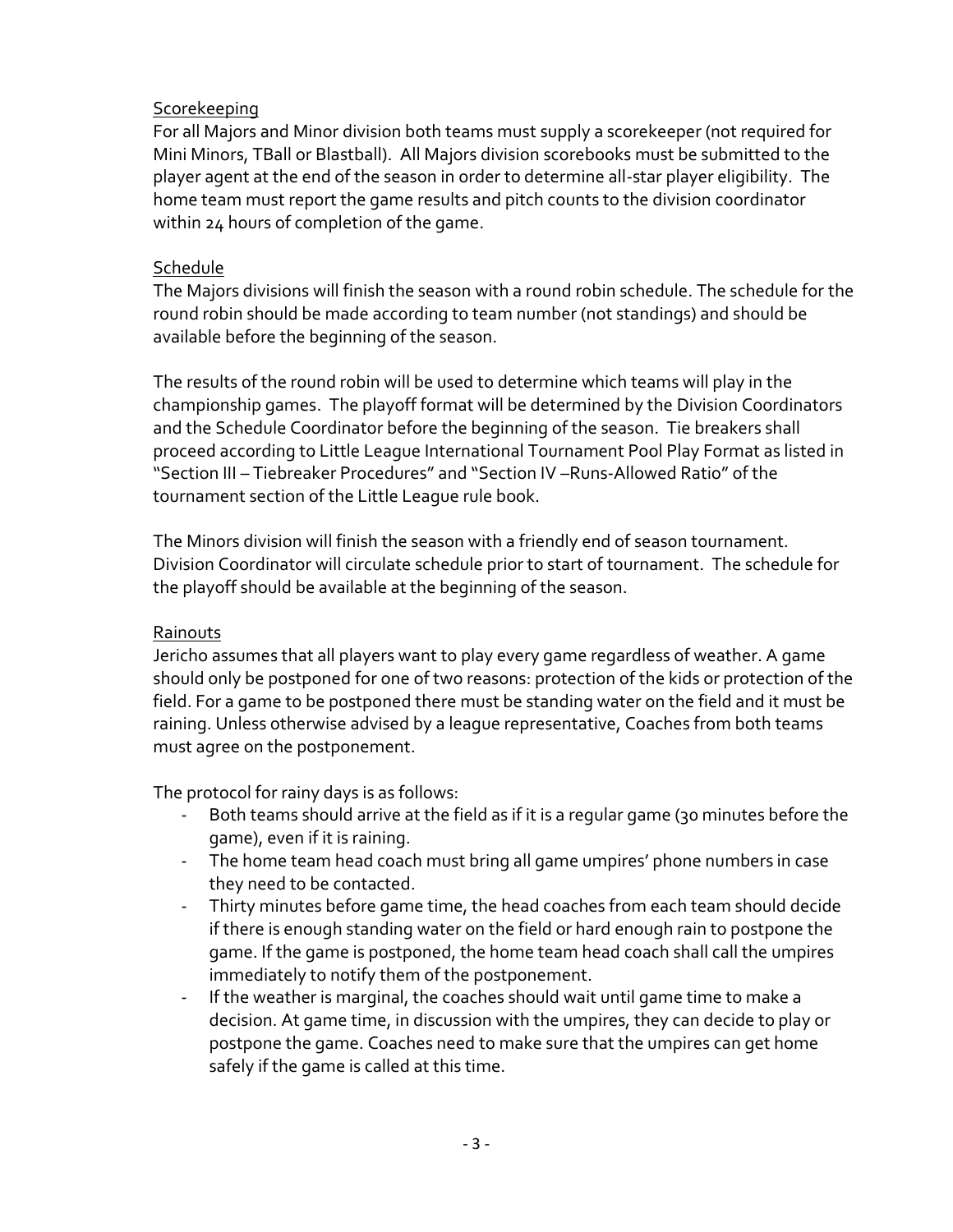### Scorekeeping

For all Majors and Minor division both teams must supply a scorekeeper (not required for Mini Minors, TBall or Blastball). All Majors division scorebooks must be submitted to the player agent at the end of the season in order to determine all-star player eligibility. The home team must report the game results and pitch counts to the division coordinator within 24 hours of completion of the game.

### <span id="page-2-0"></span>**Schedule**

The Majors divisions will finish the season with a round robin schedule. The schedule for the round robin should be made according to team number (not standings) and should be available before the beginning of the season.

The results of the round robin will be used to determine which teams will play in the championship games. The playoff format will be determined by the Division Coordinators and the Schedule Coordinator before the beginning of the season. Tie breakers shall proceed according to Little League International Tournament Pool Play Format as listed in "Section III – Tiebreaker Procedures" and "Section IV –Runs-Allowed Ratio" of the tournament section of the Little League rule book.

The Minors division will finish the season with a friendly end of season tournament. Division Coordinator will circulate schedule prior to start of tournament. The schedule for the playoff should be available at the beginning of the season.

### <span id="page-2-1"></span>Rainouts

Jericho assumes that all players want to play every game regardless of weather. A game should only be postponed for one of two reasons: protection of the kids or protection of the field. For a game to be postponed there must be standing water on the field and it must be raining. Unless otherwise advised by a league representative, Coaches from both teams must agree on the postponement.

The protocol for rainy days is as follows:

- Both teams should arrive at the field as if it is a regular game (30 minutes before the game), even if it is raining.
- The home team head coach must bring all game umpires' phone numbers in case they need to be contacted.
- Thirty minutes before game time, the head coaches from each team should decide if there is enough standing water on the field or hard enough rain to postpone the game. If the game is postponed, the home team head coach shall call the umpires immediately to notify them of the postponement.
- If the weather is marginal, the coaches should wait until game time to make a decision. At game time, in discussion with the umpires, they can decide to play or postpone the game. Coaches need to make sure that the umpires can get home safely if the game is called at this time.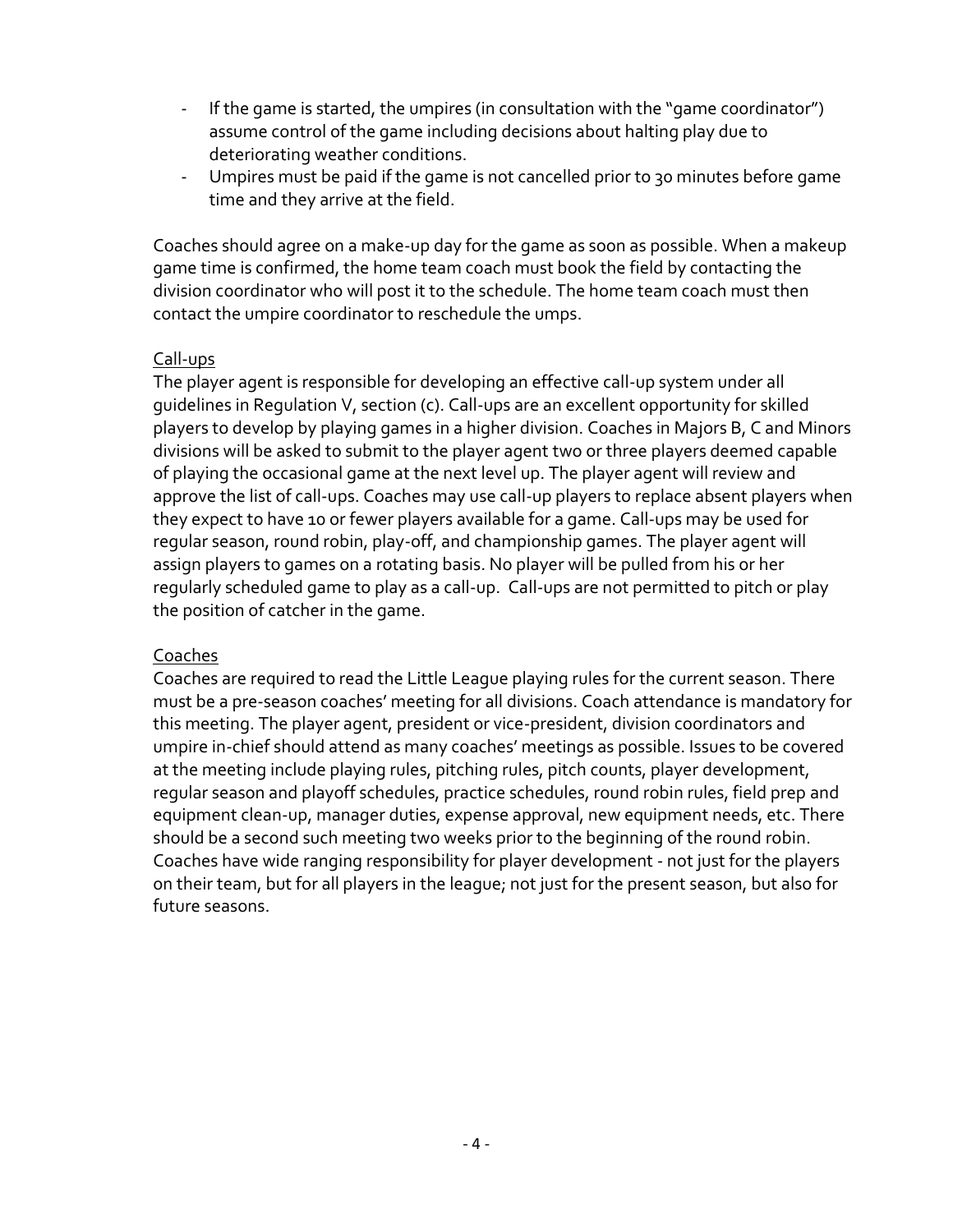- If the game is started, the umpires (in consultation with the "game coordinator") assume control of the game including decisions about halting play due to deteriorating weather conditions.
- Umpires must be paid if the game is not cancelled prior to 30 minutes before game time and they arrive at the field.

Coaches should agree on a make-up day for the game as soon as possible. When a makeup game time is confirmed, the home team coach must book the field by contacting the division coordinator who will post it to the schedule. The home team coach must then contact the umpire coordinator to reschedule the umps.

### <span id="page-3-0"></span>Call-ups

The player agent is responsible for developing an effective call-up system under all guidelines in Regulation V, section (c). Call-ups are an excellent opportunity for skilled players to develop by playing games in a higher division. Coaches in Majors B, C and Minors divisions will be asked to submit to the player agent two or three players deemed capable of playing the occasional game at the next level up. The player agent will review and approve the list of call-ups. Coaches may use call-up players to replace absent players when they expect to have 10 or fewer players available for a game. Call-ups may be used for regular season, round robin, play-off, and championship games. The player agent will assign players to games on a rotating basis. No player will be pulled from his or her regularly scheduled game to play as a call-up. Call-ups are not permitted to pitch or play the position of catcher in the game.

### <span id="page-3-1"></span>Coaches

Coaches are required to read the Little League playing rules for the current season. There must be a pre-season coaches' meeting for all divisions. Coach attendance is mandatory for this meeting. The player agent, president or vice-president, division coordinators and umpire in-chief should attend as many coaches' meetings as possible. Issues to be covered at the meeting include playing rules, pitching rules, pitch counts, player development, regular season and playoff schedules, practice schedules, round robin rules, field prep and equipment clean-up, manager duties, expense approval, new equipment needs, etc. There should be a second such meeting two weeks prior to the beginning of the round robin. Coaches have wide ranging responsibility for player development - not just for the players on their team, but for all players in the league; not just for the present season, but also for future seasons.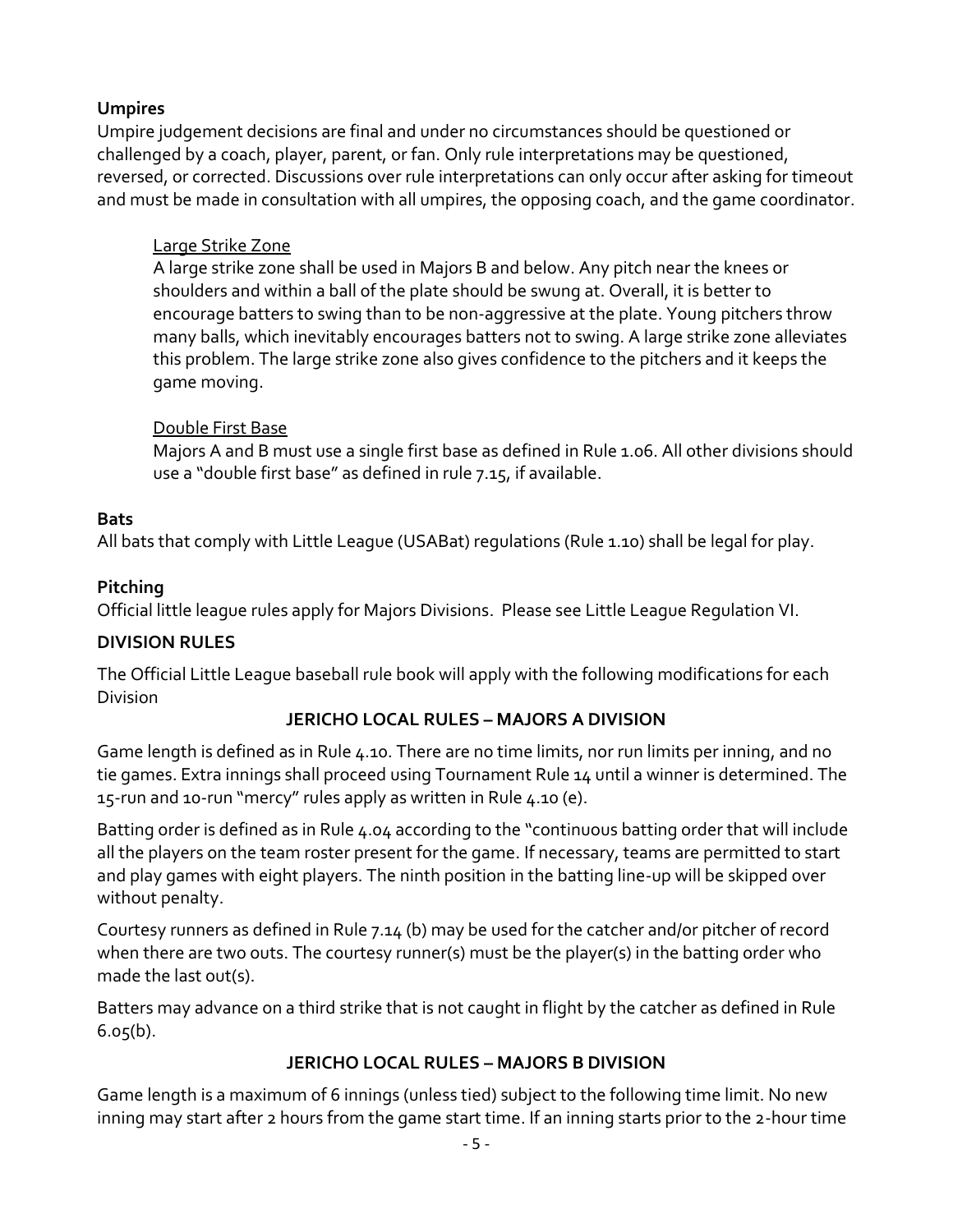# <span id="page-4-0"></span>**Umpires**

Umpire judgement decisions are final and under no circumstances should be questioned or challenged by a coach, player, parent, or fan. Only rule interpretations may be questioned, reversed, or corrected. Discussions over rule interpretations can only occur after asking for timeout and must be made in consultation with all umpires, the opposing coach, and the game coordinator.

### <span id="page-4-1"></span>Large Strike Zone

A large strike zone shall be used in Majors B and below. Any pitch near the knees or shoulders and within a ball of the plate should be swung at. Overall, it is better to encourage batters to swing than to be non-aggressive at the plate. Young pitchers throw many balls, which inevitably encourages batters not to swing. A large strike zone alleviates this problem. The large strike zone also gives confidence to the pitchers and it keeps the game moving.

### <span id="page-4-2"></span>Double First Base

Majors A and B must use a single first base as defined in Rule 1.06. All other divisions should use a "double first base" as defined in rule 7.15, if available.

### <span id="page-4-3"></span>**Bats**

All bats that comply with Little League (USABat) regulations (Rule 1.10) shall be legal for play.

### **Pitching**

Official little league rules apply for Majors Divisions. Please see Little League Regulation VI.

### **DIVISION RULES**

The Official Little League baseball rule book will apply with the following modifications for each Division

# **JERICHO LOCAL RULES – MAJORS A DIVISION**

<span id="page-4-4"></span>Game length is defined as in Rule 4.10. There are no time limits, nor run limits per inning, and no tie games. Extra innings shall proceed using Tournament Rule 14 until a winner is determined. The 15-run and 10-run "mercy" rules apply as written in Rule 4.10 (e).

Batting order is defined as in Rule 4.04 according to the "continuous batting order that will include all the players on the team roster present for the game. If necessary, teams are permitted to start and play games with eight players. The ninth position in the batting line-up will be skipped over without penalty.

Courtesy runners as defined in Rule 7.14 (b) may be used for the catcher and/or pitcher of record when there are two outs. The courtesy runner(s) must be the player(s) in the batting order who made the last out(s).

Batters may advance on a third strike that is not caught in flight by the catcher as defined in Rule  $6.05(b)$ .

### **JERICHO LOCAL RULES – MAJORS B DIVISION**

<span id="page-4-5"></span>Game length is a maximum of 6 innings (unless tied) subject to the following time limit. No new inning may start after 2 hours from the game start time. If an inning starts prior to the 2-hour time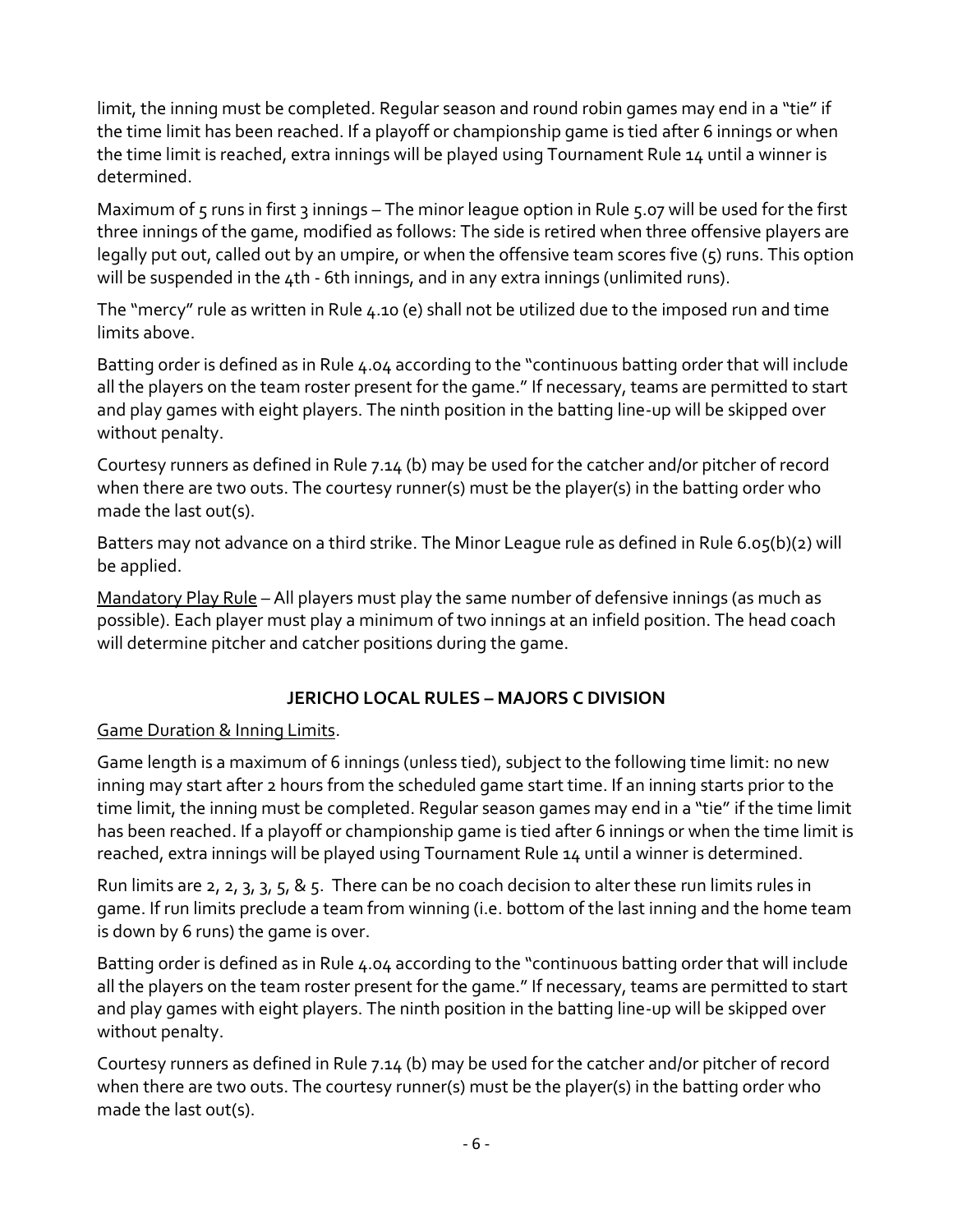limit, the inning must be completed. Regular season and round robin games may end in a "tie" if the time limit has been reached. If a playoff or championship game is tied after 6 innings or when the time limit is reached, extra innings will be played using Tournament Rule 14 until a winner is determined.

Maximum of 5 runs in first 3 innings – The minor league option in Rule 5.07 will be used for the first three innings of the game, modified as follows: The side is retired when three offensive players are legally put out, called out by an umpire, or when the offensive team scores five (5) runs. This option will be suspended in the 4th - 6th innings, and in any extra innings (unlimited runs).

The "mercy" rule as written in Rule 4.10 (e) shall not be utilized due to the imposed run and time limits above.

Batting order is defined as in Rule 4.04 according to the "continuous batting order that will include all the players on the team roster present for the game." If necessary, teams are permitted to start and play games with eight players. The ninth position in the batting line-up will be skipped over without penalty.

Courtesy runners as defined in Rule 7.14 (b) may be used for the catcher and/or pitcher of record when there are two outs. The courtesy runner(s) must be the player(s) in the batting order who made the last out(s).

Batters may not advance on a third strike. The Minor League rule as defined in Rule 6.05(b)(2) will be applied.

<span id="page-5-0"></span>Mandatory Play Rule – All players must play the same number of defensive innings (as much as possible). Each player must play a minimum of two innings at an infield position. The head coach will determine pitcher and catcher positions during the game.

### **JERICHO LOCAL RULES – MAJORS C DIVISION**

### <span id="page-5-1"></span>Game Duration & Inning Limits.

Game length is a maximum of 6 innings (unless tied), subject to the following time limit: no new inning may start after 2 hours from the scheduled game start time. If an inning starts prior to the time limit, the inning must be completed. Regular season games may end in a "tie" if the time limit has been reached. If a playoff or championship game is tied after 6 innings or when the time limit is reached, extra innings will be played using Tournament Rule 14 until a winner is determined.

Run limits are 2, 2, 3, 3, 5, & 5. There can be no coach decision to alter these run limits rules in game. If run limits preclude a team from winning (i.e. bottom of the last inning and the home team is down by 6 runs) the game is over.

Batting order is defined as in Rule 4.04 according to the "continuous batting order that will include all the players on the team roster present for the game." If necessary, teams are permitted to start and play games with eight players. The ninth position in the batting line-up will be skipped over without penalty.

Courtesy runners as defined in Rule 7.14 (b) may be used for the catcher and/or pitcher of record when there are two outs. The courtesy runner(s) must be the player(s) in the batting order who made the last out(s).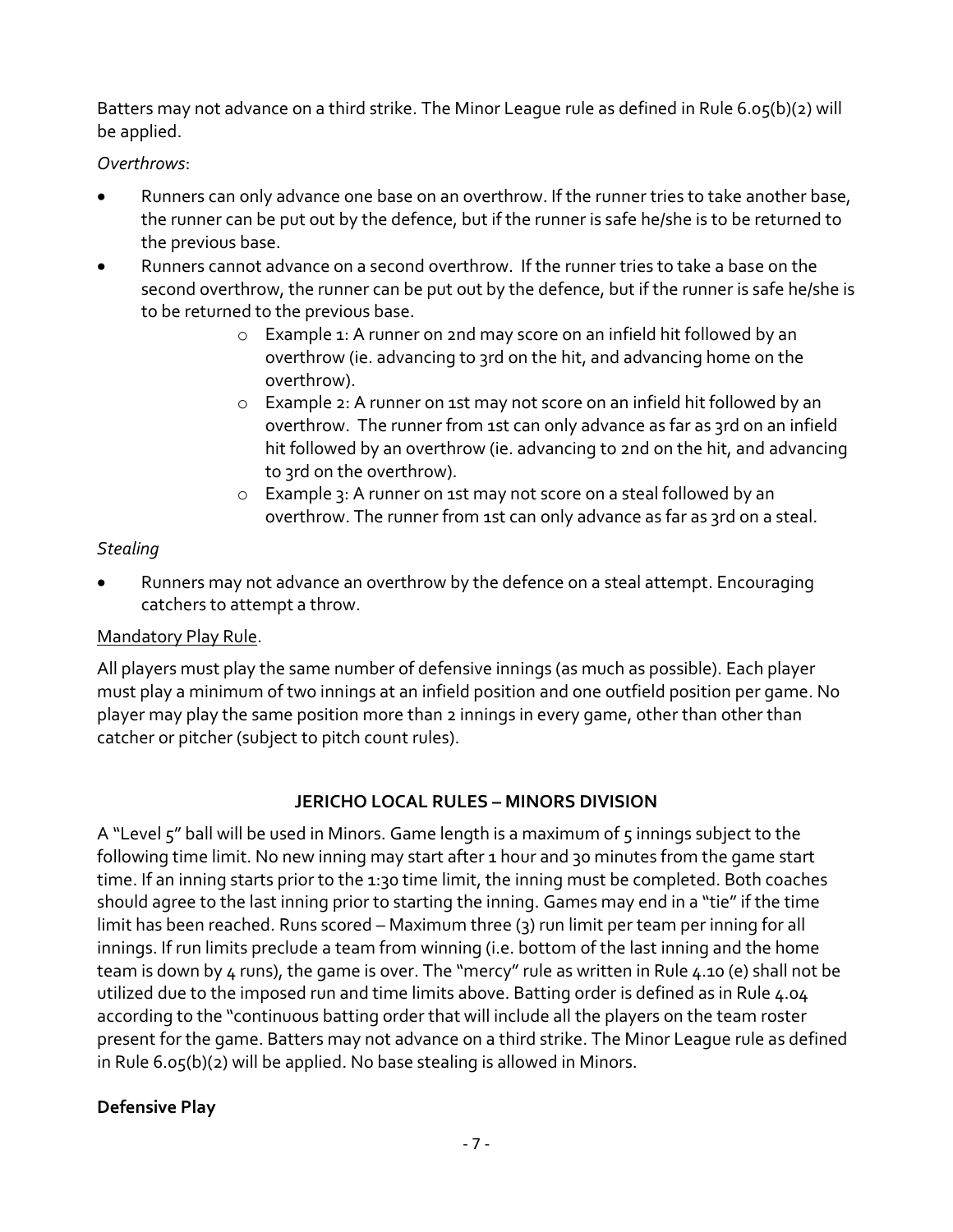Batters may not advance on a third strike. The Minor League rule as defined in Rule 6.05(b)(2) will be applied.

*Overthrows*:

- Runners can only advance one base on an overthrow. If the runner tries to take another base, the runner can be put out by the defence, but if the runner is safe he/she is to be returned to the previous base.
- Runners cannot advance on a second overthrow. If the runner tries to take a base on the second overthrow, the runner can be put out by the defence, but if the runner is safe he/she is to be returned to the previous base.
	- o Example 1: A runner on 2nd may score on an infield hit followed by an overthrow (ie. advancing to 3rd on the hit, and advancing home on the overthrow).
	- o Example 2: A runner on 1st may not score on an infield hit followed by an overthrow. The runner from 1st can only advance as far as 3rd on an infield hit followed by an overthrow (ie. advancing to 2nd on the hit, and advancing to 3rd on the overthrow).
	- o Example 3: A runner on 1st may not score on a steal followed by an overthrow. The runner from 1st can only advance as far as 3rd on a steal.

# <span id="page-6-0"></span>*Stealing*

• Runners may not advance an overthrow by the defence on a steal attempt. Encouraging catchers to attempt a throw.

# Mandatory Play Rule.

All players must play the same number of defensive innings (as much as possible). Each player must play a minimum of two innings at an infield position and one outfield position per game. No player may play the same position more than 2 innings in every game, other than other than catcher or pitcher (subject to pitch count rules).

# **JERICHO LOCAL RULES – MINORS DIVISION**

<span id="page-6-1"></span>A "Level 5" ball will be used in Minors. Game length is a maximum of 5 innings subject to the following time limit. No new inning may start after 1 hour and 30 minutes from the game start time. If an inning starts prior to the 1:30 time limit, the inning must be completed. Both coaches should agree to the last inning prior to starting the inning. Games may end in a "tie" if the time limit has been reached. Runs scored – Maximum three (3) run limit per team per inning for all innings. If run limits preclude a team from winning (i.e. bottom of the last inning and the home team is down by 4 runs), the game is over. The "mercy" rule as written in Rule 4.10 (e) shall not be utilized due to the imposed run and time limits above. Batting order is defined as in Rule 4.04 according to the "continuous batting order that will include all the players on the team roster present for the game. Batters may not advance on a third strike. The Minor League rule as defined in Rule 6.05(b)(2) will be applied. No base stealing is allowed in Minors.

# <span id="page-6-2"></span>**Defensive Play**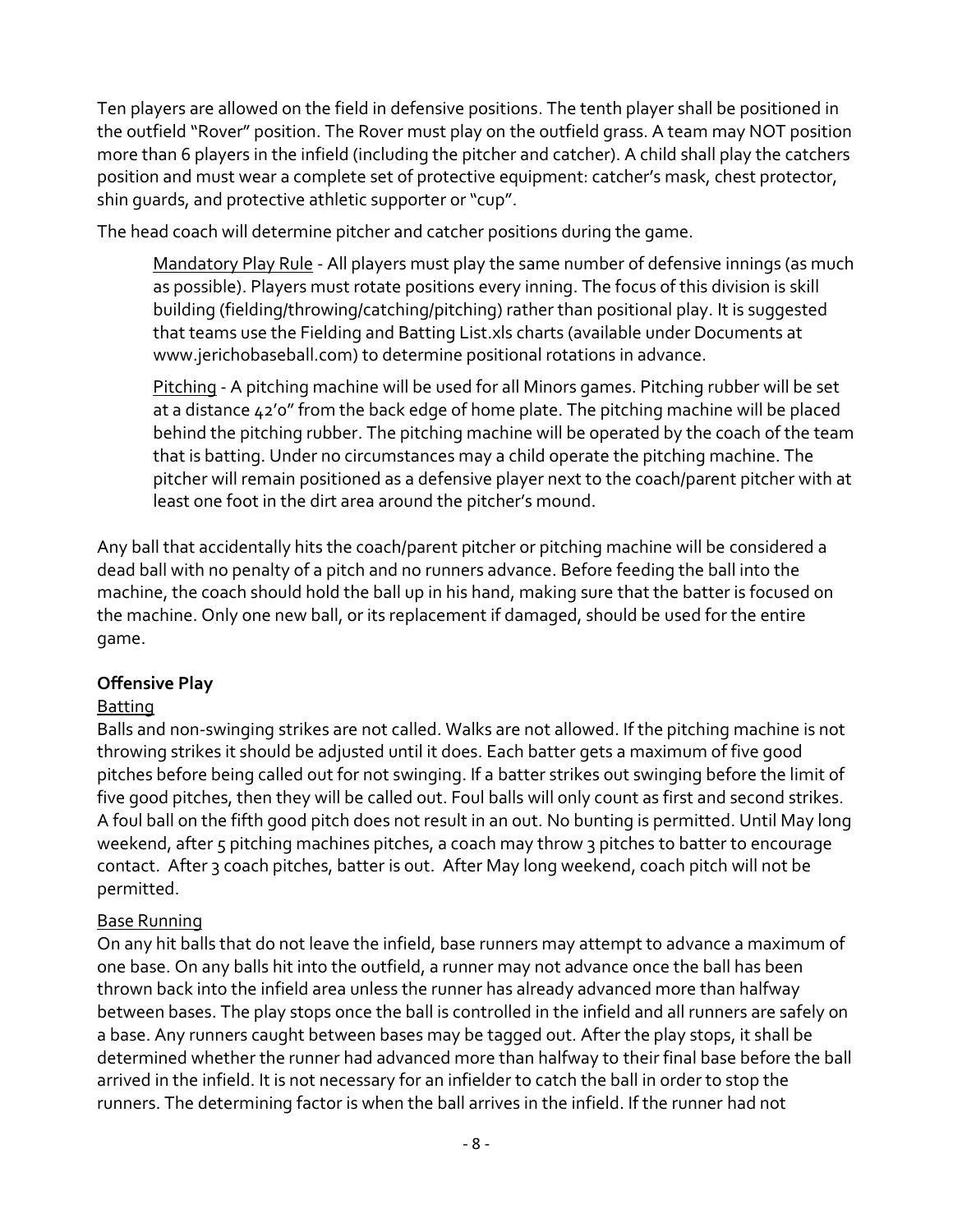Ten players are allowed on the field in defensive positions. The tenth player shall be positioned in the outfield "Rover" position. The Rover must play on the outfield grass. A team may NOT position more than 6 players in the infield (including the pitcher and catcher). A child shall play the catchers position and must wear a complete set of protective equipment: catcher's mask, chest protector, shin guards, and protective athletic supporter or "cup".

<span id="page-7-0"></span>The head coach will determine pitcher and catcher positions during the game.

Mandatory Play Rule - All players must play the same number of defensive innings (as much as possible). Players must rotate positions every inning. The focus of this division is skill building (fielding/throwing/catching/pitching) rather than positional play. It is suggested that teams use the Fielding and Batting List.xls charts (available under Documents at www.jerichobaseball.com) to determine positional rotations in advance.

<span id="page-7-1"></span>Pitching - A pitching machine will be used for all Minors games. Pitching rubber will be set at a distance 42'0" from the back edge of home plate. The pitching machine will be placed behind the pitching rubber. The pitching machine will be operated by the coach of the team that is batting. Under no circumstances may a child operate the pitching machine. The pitcher will remain positioned as a defensive player next to the coach/parent pitcher with at least one foot in the dirt area around the pitcher's mound.

Any ball that accidentally hits the coach/parent pitcher or pitching machine will be considered a dead ball with no penalty of a pitch and no runners advance. Before feeding the ball into the machine, the coach should hold the ball up in his hand, making sure that the batter is focused on the machine. Only one new ball, or its replacement if damaged, should be used for the entire game.

### <span id="page-7-2"></span>**Offensive Play**

### <span id="page-7-3"></span>Batting

Balls and non-swinging strikes are not called. Walks are not allowed. If the pitching machine is not throwing strikes it should be adjusted until it does. Each batter gets a maximum of five good pitches before being called out for not swinging. If a batter strikes out swinging before the limit of five good pitches, then they will be called out. Foul balls will only count as first and second strikes. A foul ball on the fifth good pitch does not result in an out. No bunting is permitted. Until May long weekend, after 5 pitching machines pitches, a coach may throw 3 pitches to batter to encourage contact. After 3 coach pitches, batter is out. After May long weekend, coach pitch will not be permitted.

### <span id="page-7-4"></span>Base Running

On any hit balls that do not leave the infield, base runners may attempt to advance a maximum of one base. On any balls hit into the outfield, a runner may not advance once the ball has been thrown back into the infield area unless the runner has already advanced more than halfway between bases. The play stops once the ball is controlled in the infield and all runners are safely on a base. Any runners caught between bases may be tagged out. After the play stops, it shall be determined whether the runner had advanced more than halfway to their final base before the ball arrived in the infield. It is not necessary for an infielder to catch the ball in order to stop the runners. The determining factor is when the ball arrives in the infield. If the runner had not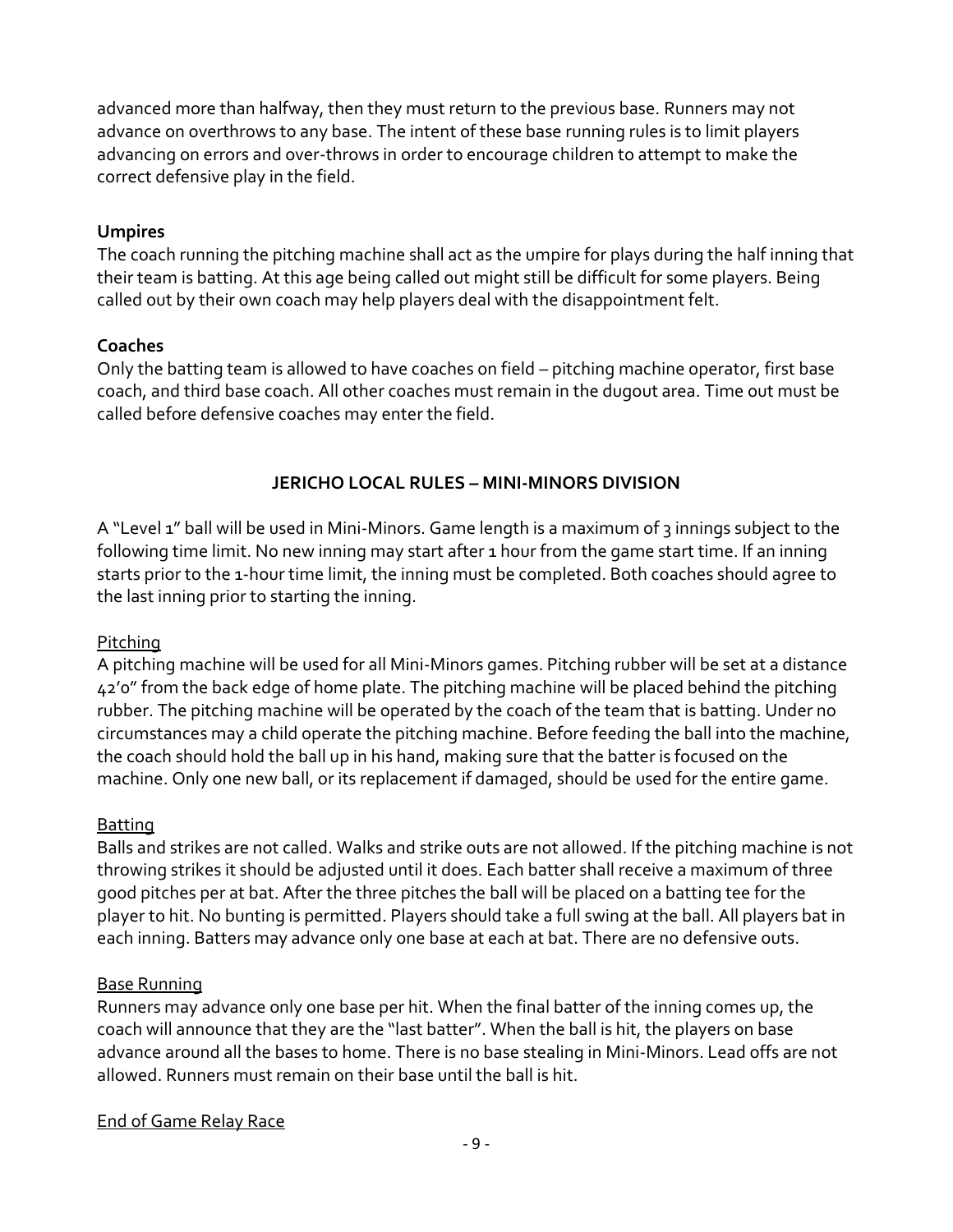advanced more than halfway, then they must return to the previous base. Runners may not advance on overthrows to any base. The intent of these base running rules is to limit players advancing on errors and over-throws in order to encourage children to attempt to make the correct defensive play in the field.

### <span id="page-8-0"></span>**Umpires**

The coach running the pitching machine shall act as the umpire for plays during the half inning that their team is batting. At this age being called out might still be difficult for some players. Being called out by their own coach may help players deal with the disappointment felt.

### <span id="page-8-1"></span>**Coaches**

Only the batting team is allowed to have coaches on field – pitching machine operator, first base coach, and third base coach. All other coaches must remain in the dugout area. Time out must be called before defensive coaches may enter the field.

### **JERICHO LOCAL RULES – MINI-MINORS DIVISION**

<span id="page-8-2"></span>A "Level 1" ball will be used in Mini-Minors. Game length is a maximum of 3 innings subject to the following time limit. No new inning may start after 1 hour from the game start time. If an inning starts prior to the 1-hour time limit, the inning must be completed. Both coaches should agree to the last inning prior to starting the inning.

### <span id="page-8-3"></span>Pitching

A pitching machine will be used for all Mini-Minors games. Pitching rubber will be set at a distance 42'0" from the back edge of home plate. The pitching machine will be placed behind the pitching rubber. The pitching machine will be operated by the coach of the team that is batting. Under no circumstances may a child operate the pitching machine. Before feeding the ball into the machine, the coach should hold the ball up in his hand, making sure that the batter is focused on the machine. Only one new ball, or its replacement if damaged, should be used for the entire game.

### <span id="page-8-4"></span>Batting

Balls and strikes are not called. Walks and strike outs are not allowed. If the pitching machine is not throwing strikes it should be adjusted until it does. Each batter shall receive a maximum of three good pitches per at bat. After the three pitches the ball will be placed on a batting tee for the player to hit. No bunting is permitted. Players should take a full swing at the ball. All players bat in each inning. Batters may advance only one base at each at bat. There are no defensive outs.

### <span id="page-8-5"></span>Base Running

Runners may advance only one base per hit. When the final batter of the inning comes up, the coach will announce that they are the "last batter". When the ball is hit, the players on base advance around all the bases to home. There is no base stealing in Mini-Minors. Lead offs are not allowed. Runners must remain on their base until the ball is hit.

### <span id="page-8-6"></span>End of Game Relay Race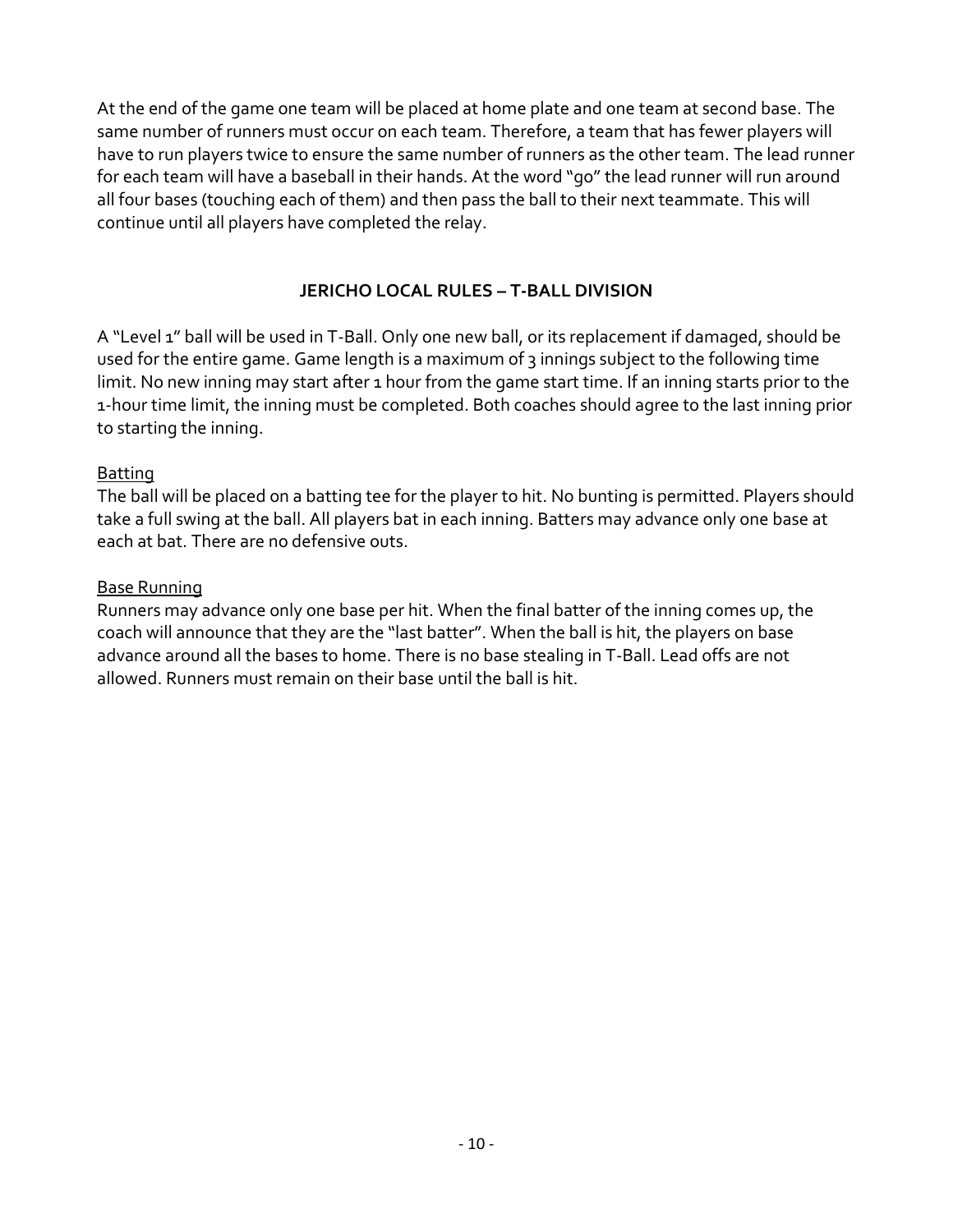At the end of the game one team will be placed at home plate and one team at second base. The same number of runners must occur on each team. Therefore, a team that has fewer players will have to run players twice to ensure the same number of runners as the other team. The lead runner for each team will have a baseball in their hands. At the word "go" the lead runner will run around all four bases (touching each of them) and then pass the ball to their next teammate. This will continue until all players have completed the relay.

# **JERICHO LOCAL RULES – T-BALL DIVISION**

<span id="page-9-0"></span>A "Level 1" ball will be used in T-Ball. Only one new ball, or its replacement if damaged, should be used for the entire game. Game length is a maximum of 3 innings subject to the following time limit. No new inning may start after 1 hour from the game start time. If an inning starts prior to the 1-hour time limit, the inning must be completed. Both coaches should agree to the last inning prior to starting the inning.

### <span id="page-9-1"></span>Batting

The ball will be placed on a batting tee for the player to hit. No bunting is permitted. Players should take a full swing at the ball. All players bat in each inning. Batters may advance only one base at each at bat. There are no defensive outs.

### <span id="page-9-2"></span>Base Running

Runners may advance only one base per hit. When the final batter of the inning comes up, the coach will announce that they are the "last batter". When the ball is hit, the players on base advance around all the bases to home. There is no base stealing in T-Ball. Lead offs are not allowed. Runners must remain on their base until the ball is hit.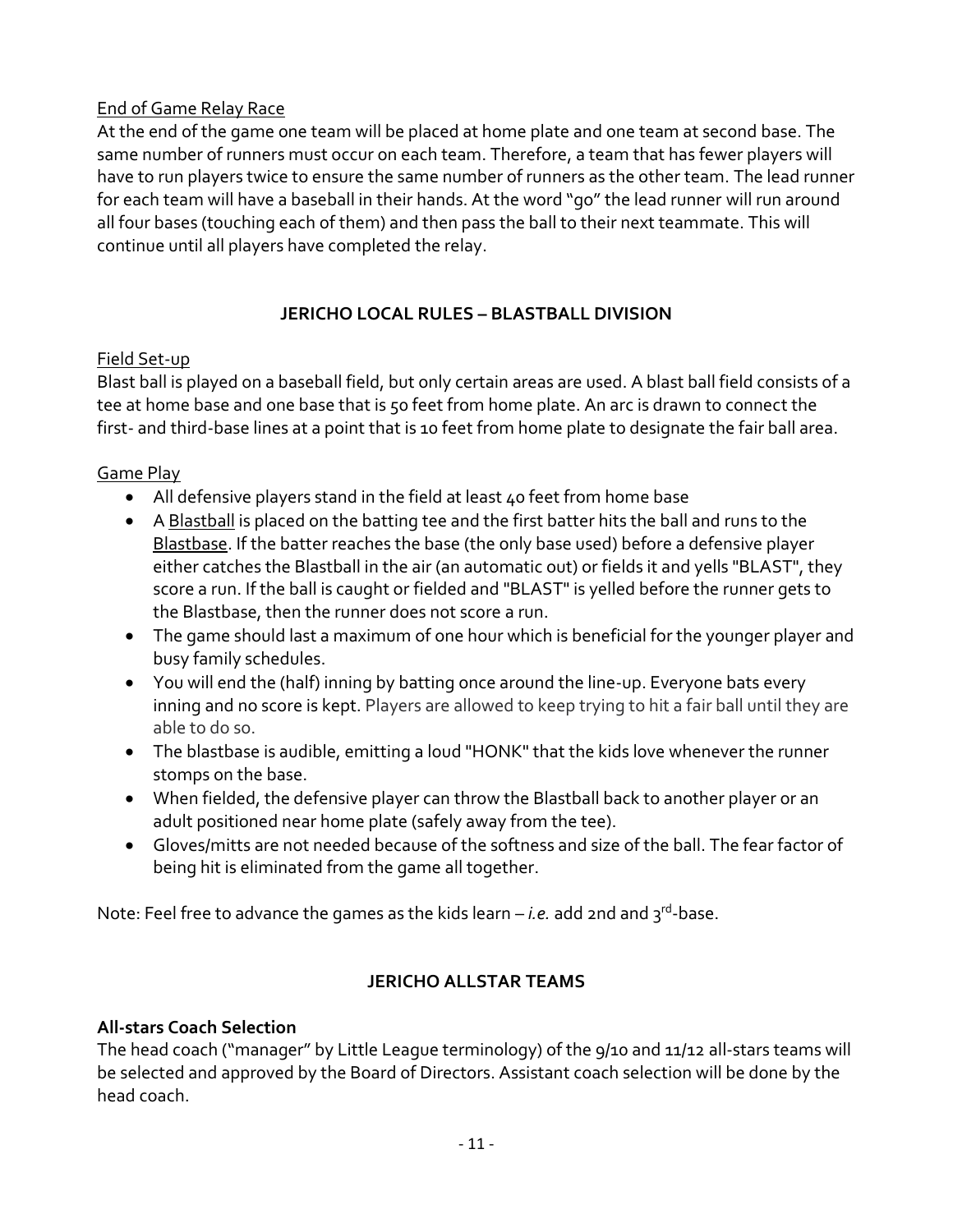# <span id="page-10-0"></span>End of Game Relay Race

At the end of the game one team will be placed at home plate and one team at second base. The same number of runners must occur on each team. Therefore, a team that has fewer players will have to run players twice to ensure the same number of runners as the other team. The lead runner for each team will have a baseball in their hands. At the word "go" the lead runner will run around all four bases (touching each of them) and then pass the ball to their next teammate. This will continue until all players have completed the relay.

# **JERICHO LOCAL RULES – BLASTBALL DIVISION**

# <span id="page-10-2"></span><span id="page-10-1"></span>Field Set-up

Blast ball is played on a baseball field, but only certain areas are used. A blast ball field consists of a tee at home base and one base that is 50 feet from home plate. An arc is drawn to connect the first- and third-base lines at a point that is 10 feet from home plate to designate the fair ball area.

# <span id="page-10-3"></span>Game Play

- All defensive players stand in the field at least 40 feet from home base
- A Blastball is placed on the batting tee and the first batter hits the ball and runs to the Blastbase. If the batter reaches the base (the only base used) before a defensive player either catches the Blastball in the air (an automatic out) or fields it and yells "BLAST", they score a run. If the ball is caught or fielded and "BLAST" is yelled before the runner gets to the Blastbase, then the runner does not score a run.
- The game should last a maximum of one hour which is beneficial for the younger player and busy family schedules.
- You will end the (half) inning by batting once around the line-up. Everyone bats every inning and no score is kept. Players are allowed to keep trying to hit a fair ball until they are able to do so.
- The blastbase is audible, emitting a loud "HONK" that the kids love whenever the runner stomps on the base.
- When fielded, the defensive player can throw the Blastball back to another player or an adult positioned near home plate (safely away from the tee).
- Gloves/mitts are not needed because of the softness and size of the ball. The fear factor of being hit is eliminated from the game all together.

Note: Feel free to advance the games as the kids learn – *i.e.* add 2nd and 3<sup>rd</sup>-base.

# **JERICHO ALLSTAR TEAMS**

### <span id="page-10-5"></span><span id="page-10-4"></span>**All-stars Coach Selection**

The head coach ("manager" by Little League terminology) of the 9/10 and 11/12 all-stars teams will be selected and approved by the Board of Directors. Assistant coach selection will be done by the head coach.